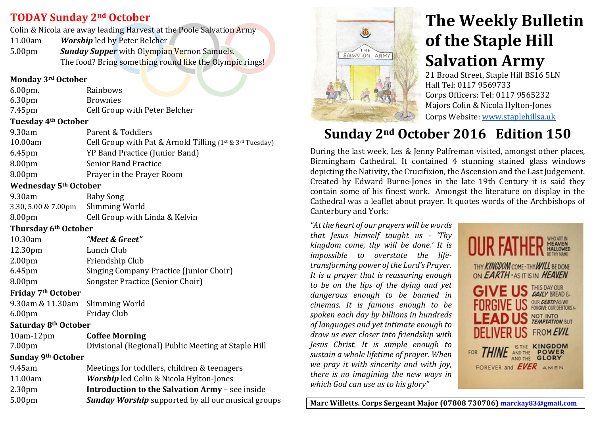### **TODAY Sunday&2nd October**

Colin & Nicola are away leading Harvest at the Poole Salvation Army

11.00am Worship led by Peter Belcher

5.00pm **Sunday Supper** with Olympian Vernon Samuels. The food? Bring something round like the Olympic rings!

### **Monday&3rd October**

| $6.00pm$ . | Rainbows        |  |
|------------|-----------------|--|
| 6.30pm     | <b>Brownies</b> |  |
|            |                 |  |

7.45pm Cell Group with Peter Belcher

### **Tuesday&4th October**

| 9.30am             | Parent & Toddlers                                                 |
|--------------------|-------------------------------------------------------------------|
| 10.00am            | Cell Group with Pat & Arnold Tilling $(1^{st} \& 3^{rd}$ Tuesday) |
| $6.45$ pm          | YP Band Practice (Junior Band)                                    |
| 8.00 <sub>pm</sub> | <b>Senior Band Practice</b>                                       |
| 8.00 <sub>pm</sub> | Prayer in the Prayer Room                                         |
|                    |                                                                   |

### **Wednesday&5th October**

| 9.30am                             | Baby Song                      |
|------------------------------------|--------------------------------|
| 3.30, 5.00 & 7.00pm Slimming World |                                |
| 8.00 <sub>pm</sub>                 | Cell Group with Linda & Kelvin |

### **Thursday&6th October**

| 10.30am             | "Meet & Greet"                                 |
|---------------------|------------------------------------------------|
| 12.30 <sub>pm</sub> | Lunch Club                                     |
| 2.00 <sub>pm</sub>  | Friendship Club                                |
| 6.45pm              | <b>Singing Company Practice (Junior Choir)</b> |
| 8.00pm              | Songster Practice (Senior Choir)               |

### **Friday&7th October**

| 9.30am & 11.30am Slimming World |                    |
|---------------------------------|--------------------|
| 6.00 <sub>pm</sub>              | <b>Friday Club</b> |

### **Saturday&8th October**

10am-12pm **Coffee Morning** 

| 7.00 <sub>pm</sub> | Divisional (Regional) Public Meeting at Staple Hill |
|--------------------|-----------------------------------------------------|
| Sunday 9th October |                                                     |

| 9.45am             | Meetings for toddlers, children & teenagers               |
|--------------------|-----------------------------------------------------------|
| 11.00am            | <b>Worship</b> led Colin & Nicola Hylton-Jones            |
| 2.30 <sub>pm</sub> | <b>Introduction to the Salvation Army - see inside</b>    |
| 5.00 <sub>pm</sub> | <b>Sunday Worship</b> supported by all our musical groups |
|                    |                                                           |



# **The Weekly Bulletin of the Staple Hill Salvation Army**

21 Broad Street, Staple Hill BS16 5LN Hall Tel: 0117 9569733 Corps Officers: Tel: 0117 9565232 Majors Colin & Nicola Hylton-Jones Corps Website: www.staplehillsa.uk

## Sunday 2<sup>nd</sup> October 2016 Edition 150

During the last week, Les & Jenny Palfreman visited, amongst other places, Birmingham Cathedral. It contained 4 stunning stained glass windows depicting the Nativity, the Crucifixion, the Ascension and the Last Judgement. Created by Edward Burne-Jones in the late 19th Century it is said they contain some of his finest work. Amongst the literature on display in the Cathedral was a leaflet about prayer. It quotes words of the Archbishops of Canterbury and York:

*"At the heart of our prayers will be words that Jesus himself taught us - 'Thy kingdom come, thy will be done.' It is impossible to overstate the lifetransforming power of the Lord's Prayer. It is a prayer that is reassuring enough to\$ be\$ on\$ the\$ lips\$ of\$ the dying\$ and\$ yet\$ dangerous* enough to be banned in *cinemas. It is famous enough to be spoken\$each\$day\$by\$billions\$in\$hundreds\$ of languages and yet intimate enough to* draw us ever closer into friendship with *Jesus Christ. It is simple enough to* sustain a whole lifetime of prayer. When *we pray it with sincerity and with joy, there is no imagining the new ways in which God can use us to his glory"* 



Marc Willetts. Corps Sergeant Major (07808 730706) marckay83@gmail.com